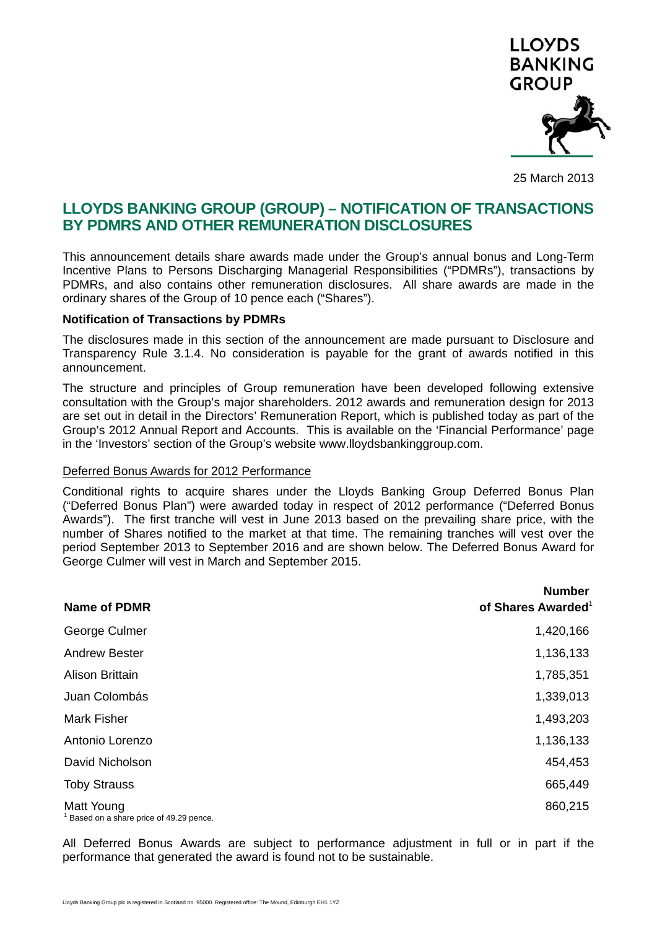

25 March 2013

# **LLOYDS BANKING GROUP (GROUP) – NOTIFICATION OF TRANSACTIONS BY PDMRS AND OTHER REMUNERATION DISCLOSURES**

This announcement details share awards made under the Group's annual bonus and Long-Term Incentive Plans to Persons Discharging Managerial Responsibilities ("PDMRs"), transactions by PDMRs, and also contains other remuneration disclosures. All share awards are made in the ordinary shares of the Group of 10 pence each ("Shares").

#### **Notification of Transactions by PDMRs**

The disclosures made in this section of the announcement are made pursuant to Disclosure and Transparency Rule 3.1.4. No consideration is payable for the grant of awards notified in this announcement.

The structure and principles of Group remuneration have been developed following extensive consultation with the Group's major shareholders. 2012 awards and remuneration design for 2013 are set out in detail in the Directors' Remuneration Report, which is published today as part of the Group's 2012 Annual Report and Accounts. This is available on the 'Financial Performance' page in the 'Investors' section of the Group's website www.lloydsbankinggroup.com.

#### Deferred Bonus Awards for 2012 Performance

Conditional rights to acquire shares under the Lloyds Banking Group Deferred Bonus Plan ("Deferred Bonus Plan") were awarded today in respect of 2012 performance ("Deferred Bonus Awards"). The first tranche will vest in June 2013 based on the prevailing share price, with the number of Shares notified to the market at that time. The remaining tranches will vest over the period September 2013 to September 2016 and are shown below. The Deferred Bonus Award for George Culmer will vest in March and September 2015.

| Name of PDMR                                                      | <b>Number</b><br>of Shares Awarded <sup>1</sup> |
|-------------------------------------------------------------------|-------------------------------------------------|
| George Culmer                                                     | 1,420,166                                       |
| Andrew Bester                                                     | 1,136,133                                       |
| Alison Brittain                                                   | 1,785,351                                       |
| Juan Colombás                                                     | 1,339,013                                       |
| Mark Fisher                                                       | 1,493,203                                       |
| Antonio Lorenzo                                                   | 1,136,133                                       |
| David Nicholson                                                   | 454,453                                         |
| <b>Toby Strauss</b>                                               | 665,449                                         |
| Matt Young<br><sup>1</sup> Based on a share price of 49.29 pence. | 860,215                                         |

All Deferred Bonus Awards are subject to performance adjustment in full or in part if the performance that generated the award is found not to be sustainable.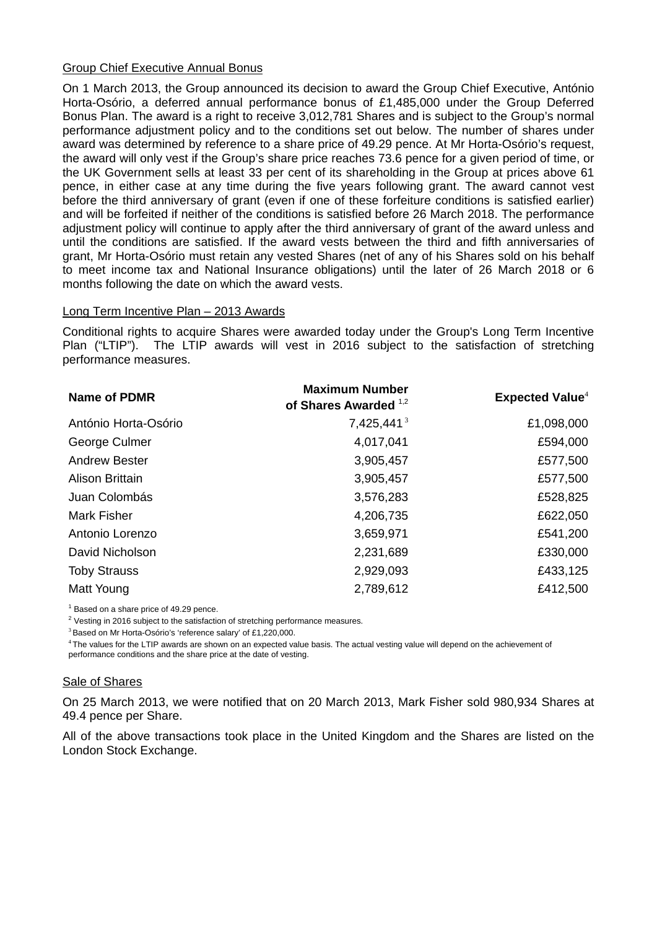### Group Chief Executive Annual Bonus

On 1 March 2013, the Group announced its decision to award the Group Chief Executive, António Horta-Osório, a deferred annual performance bonus of £1,485,000 under the Group Deferred Bonus Plan. The award is a right to receive 3,012,781 Shares and is subject to the Group's normal performance adjustment policy and to the conditions set out below. The number of shares under award was determined by reference to a share price of 49.29 pence. At Mr Horta-Osório's request, the award will only vest if the Group's share price reaches 73.6 pence for a given period of time, or the UK Government sells at least 33 per cent of its shareholding in the Group at prices above 61 pence, in either case at any time during the five years following grant. The award cannot vest before the third anniversary of grant (even if one of these forfeiture conditions is satisfied earlier) and will be forfeited if neither of the conditions is satisfied before 26 March 2018. The performance adjustment policy will continue to apply after the third anniversary of grant of the award unless and until the conditions are satisfied. If the award vests between the third and fifth anniversaries of grant, Mr Horta-Osório must retain any vested Shares (net of any of his Shares sold on his behalf to meet income tax and National Insurance obligations) until the later of 26 March 2018 or 6 months following the date on which the award vests.

### Long Term Incentive Plan – 2013 Awards

Conditional rights to acquire Shares were awarded today under the Group's Long Term Incentive Plan ("LTIP"). The LTIP awards will vest in 2016 subject to the satisfaction of stretching performance measures.

| <b>Name of PDMR</b>  | <b>Maximum Number</b><br>of Shares Awarded 1,2 | <b>Expected Value</b> <sup>4</sup> |
|----------------------|------------------------------------------------|------------------------------------|
| António Horta-Osório | 7,425,441 <sup>3</sup>                         | £1,098,000                         |
| George Culmer        | 4,017,041                                      | £594,000                           |
| <b>Andrew Bester</b> | 3,905,457                                      | £577,500                           |
| Alison Brittain      | 3,905,457                                      | £577,500                           |
| Juan Colombás        | 3,576,283                                      | £528,825                           |
| <b>Mark Fisher</b>   | 4,206,735                                      | £622,050                           |
| Antonio Lorenzo      | 3,659,971                                      | £541,200                           |
| David Nicholson      | 2,231,689                                      | £330,000                           |
| <b>Toby Strauss</b>  | 2,929,093                                      | £433,125                           |
| Matt Young           | 2,789,612                                      | £412,500                           |

 $1$  Based on a share price of 49.29 pence.

 $2$  Vesting in 2016 subject to the satisfaction of stretching performance measures.

<sup>3</sup> Based on Mr Horta-Osório's 'reference salary' of £1,220,000.

<sup>4</sup>The values for the LTIP awards are shown on an expected value basis. The actual vesting value will depend on the achievement of performance conditions and the share price at the date of vesting.

### Sale of Shares

On 25 March 2013, we were notified that on 20 March 2013, Mark Fisher sold 980,934 Shares at 49.4 pence per Share.

All of the above transactions took place in the United Kingdom and the Shares are listed on the London Stock Exchange.